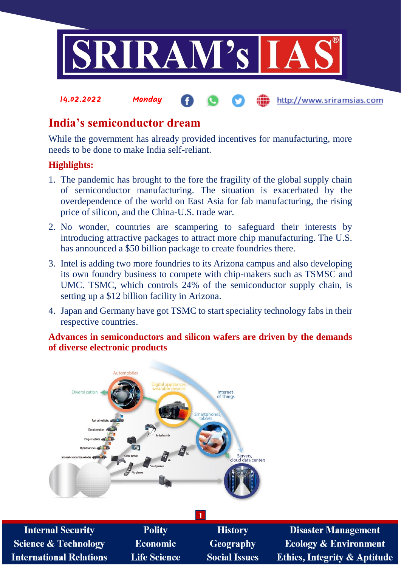

# **India's semiconductor dream**

While the government has already provided incentives for manufacturing, more needs to be done to make India self-reliant.

# **Highlights:**

**International Relations** 

- 1. The pandemic has brought to the fore the fragility of the global supply chain of semiconductor manufacturing. The situation is exacerbated by the overdependence of the world on East Asia for fab manufacturing, the rising price of silicon, and the China-U.S. trade war.
- 2. No wonder, countries are scampering to safeguard their interests by introducing attractive packages to attract more chip manufacturing. The U.S. has announced a \$50 billion package to create foundries there.
- 3. Intel is adding two more foundries to its Arizona campus and also developing its own foundry business to compete with chip-makers such as TSMSC and UMC. TSMC, which controls 24% of the semiconductor supply chain, is setting up a \$12 billion facility in Arizona.
- 4. Japan and Germany have got TSMC to start speciality technology fabs in their respective countries.

**Advances in semiconductors and silicon wafers are driven by the demands of diverse electronic products**

**Social Issues** 



**Life Science** 

**Disaster Management Ecology & Environment Ethics, Integrity & Aptitude** 

http://www.sriramsias.com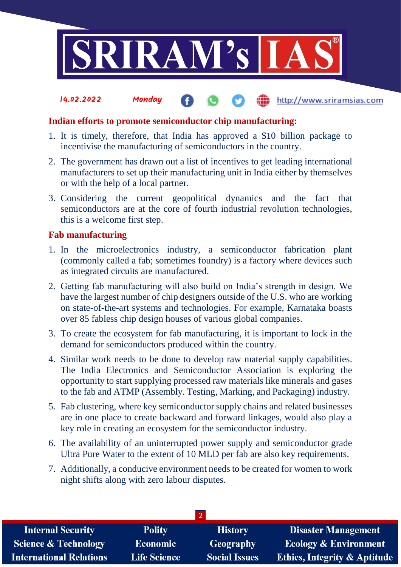

#### 14.02.2022 Monday http://www.sriramsias.com

## **Indian efforts to promote semiconductor chip manufacturing:**

- 1. It is timely, therefore, that India has approved a \$10 billion package to incentivise the manufacturing of semiconductors in the country.
- 2. The government has drawn out a list of incentives to get leading international manufacturers to set up their manufacturing unit in India either by themselves or with the help of a local partner.
- 3. Considering the current geopolitical dynamics and the fact that semiconductors are at the core of fourth industrial revolution technologies, this is a welcome first step.

### **Fab manufacturing**

- 1. In the microelectronics industry, a semiconductor fabrication plant (commonly called a fab; sometimes foundry) is a factory where devices such as integrated circuits are manufactured.
- 2. Getting fab manufacturing will also build on India's strength in design. We have the largest number of chip designers outside of the U.S. who are working on state-of-the-art systems and technologies. For example, Karnataka boasts over 85 fabless chip design houses of various global companies.
- 3. To create the ecosystem for fab manufacturing, it is important to lock in the demand for semiconductors produced within the country.
- 4. Similar work needs to be done to develop raw material supply capabilities. The India Electronics and Semiconductor Association is exploring the opportunity to start supplying processed raw materials like minerals and gases to the fab and ATMP (Assembly. Testing, Marking, and Packaging) industry.
- 5. Fab clustering, where key semiconductor supply chains and related businesses are in one place to create backward and forward linkages, would also play a key role in creating an ecosystem for the semiconductor industry.
- 6. The availability of an uninterrupted power supply and semiconductor grade Ultra Pure Water to the extent of 10 MLD per fab are also key requirements.
- 7. Additionally, a conducive environment needs to be created for women to work night shifts along with zero labour disputes.

| <b>Internal Security</b>        | <b>Polity</b>       | <b>History</b>       | <b>Disaster Management</b>              |  |  |
|---------------------------------|---------------------|----------------------|-----------------------------------------|--|--|
| <b>Science &amp; Technology</b> | <b>Economic</b>     | Geography            | <b>Ecology &amp; Environment</b>        |  |  |
| <b>International Relations</b>  | <b>Life Science</b> | <b>Social Issues</b> | <b>Ethics, Integrity &amp; Aptitude</b> |  |  |